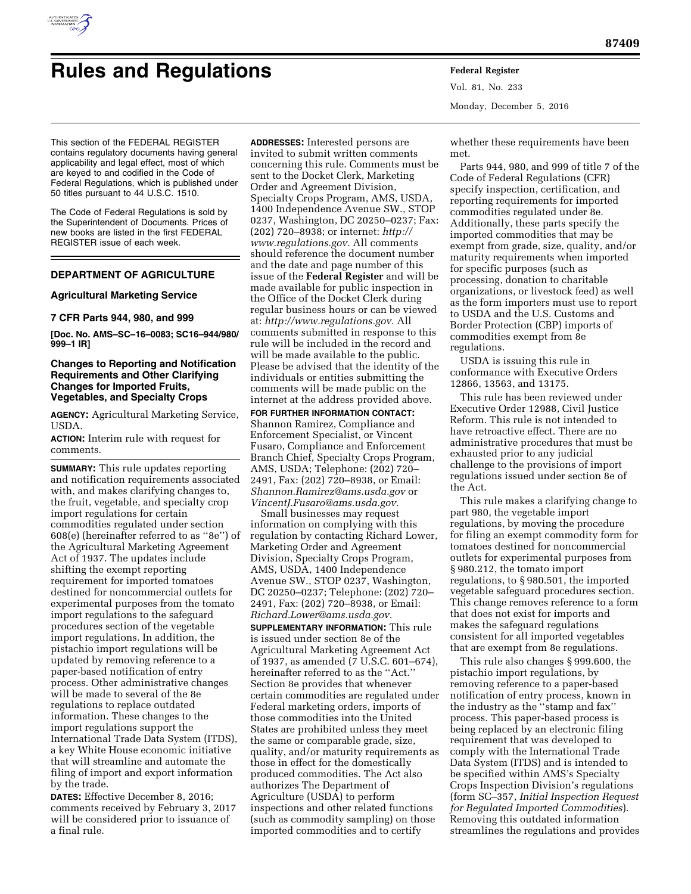

# **Rules and Regulations Federal Register**

Vol. 81, No. 233 Monday, December 5, 2016

This section of the FEDERAL REGISTER contains regulatory documents having general applicability and legal effect, most of which are keyed to and codified in the Code of Federal Regulations, which is published under 50 titles pursuant to 44 U.S.C. 1510.

The Code of Federal Regulations is sold by the Superintendent of Documents. Prices of new books are listed in the first FEDERAL REGISTER issue of each week.

# **DEPARTMENT OF AGRICULTURE**

# **Agricultural Marketing Service**

# **7 CFR Parts 944, 980, and 999**

**[Doc. No. AMS–SC–16–0083; SC16–944/980/ 999–1 IR]** 

# **Changes to Reporting and Notification Requirements and Other Clarifying Changes for Imported Fruits, Vegetables, and Specialty Crops**

**AGENCY:** Agricultural Marketing Service, USDA.

**ACTION:** Interim rule with request for comments.

**SUMMARY:** This rule updates reporting and notification requirements associated with, and makes clarifying changes to, the fruit, vegetable, and specialty crop import regulations for certain commodities regulated under section 608(e) (hereinafter referred to as ''8e'') of the Agricultural Marketing Agreement Act of 1937. The updates include shifting the exempt reporting requirement for imported tomatoes destined for noncommercial outlets for experimental purposes from the tomato import regulations to the safeguard procedures section of the vegetable import regulations. In addition, the pistachio import regulations will be updated by removing reference to a paper-based notification of entry process. Other administrative changes will be made to several of the 8e regulations to replace outdated information. These changes to the import regulations support the International Trade Data System (ITDS), a key White House economic initiative that will streamline and automate the filing of import and export information by the trade.

**DATES:** Effective December 8, 2016; comments received by February 3, 2017 will be considered prior to issuance of a final rule.

**ADDRESSES:** Interested persons are invited to submit written comments concerning this rule. Comments must be sent to the Docket Clerk, Marketing Order and Agreement Division, Specialty Crops Program, AMS, USDA, 1400 Independence Avenue SW., STOP 0237, Washington, DC 20250–0237; Fax: (202) 720–8938; or internet: *[http://](http://www.regulations.gov) [www.regulations.gov.](http://www.regulations.gov)* All comments should reference the document number and the date and page number of this issue of the **Federal Register** and will be made available for public inspection in the Office of the Docket Clerk during regular business hours or can be viewed at: *[http://www.regulations.gov.](http://www.regulations.gov)* All comments submitted in response to this rule will be included in the record and will be made available to the public. Please be advised that the identity of the individuals or entities submitting the comments will be made public on the internet at the address provided above.

**FOR FURTHER INFORMATION CONTACT:**  Shannon Ramirez, Compliance and Enforcement Specialist, or Vincent Fusaro, Compliance and Enforcement Branch Chief, Specialty Crops Program, AMS, USDA; Telephone: (202) 720– 2491, Fax: (202) 720–8938, or Email: *[Shannon.Ramirez@ams.usda.gov](mailto:Shannon.Ramirez@ams.usda.gov)* or *[VincentJ.Fusaro@ams.usda.gov.](mailto:VincentJ.Fusaro@ams.usda.gov)* 

Small businesses may request information on complying with this regulation by contacting Richard Lower, Marketing Order and Agreement Division, Specialty Crops Program, AMS, USDA, 1400 Independence Avenue SW., STOP 0237, Washington, DC 20250–0237; Telephone: (202) 720– 2491, Fax: (202) 720–8938, or Email: *[Richard.Lower@ams.usda.gov.](mailto:Richard.Lower@ams.usda.gov)* 

**SUPPLEMENTARY INFORMATION:** This rule is issued under section 8e of the Agricultural Marketing Agreement Act of 1937, as amended (7 U.S.C. 601–674), hereinafter referred to as the ''Act.'' Section 8e provides that whenever certain commodities are regulated under Federal marketing orders, imports of those commodities into the United States are prohibited unless they meet the same or comparable grade, size, quality, and/or maturity requirements as those in effect for the domestically produced commodities. The Act also authorizes The Department of Agriculture (USDA) to perform inspections and other related functions (such as commodity sampling) on those imported commodities and to certify

whether these requirements have been met.

Parts 944, 980, and 999 of title 7 of the Code of Federal Regulations (CFR) specify inspection, certification, and reporting requirements for imported commodities regulated under 8e. Additionally, these parts specify the imported commodities that may be exempt from grade, size, quality, and/or maturity requirements when imported for specific purposes (such as processing, donation to charitable organizations, or livestock feed) as well as the form importers must use to report to USDA and the U.S. Customs and Border Protection (CBP) imports of commodities exempt from 8e regulations.

USDA is issuing this rule in conformance with Executive Orders 12866, 13563, and 13175.

This rule has been reviewed under Executive Order 12988, Civil Justice Reform. This rule is not intended to have retroactive effect. There are no administrative procedures that must be exhausted prior to any judicial challenge to the provisions of import regulations issued under section 8e of the Act.

This rule makes a clarifying change to part 980, the vegetable import regulations, by moving the procedure for filing an exempt commodity form for tomatoes destined for noncommercial outlets for experimental purposes from § 980.212, the tomato import regulations, to § 980.501, the imported vegetable safeguard procedures section. This change removes reference to a form that does not exist for imports and makes the safeguard regulations consistent for all imported vegetables that are exempt from 8e regulations.

This rule also changes § 999.600, the pistachio import regulations, by removing reference to a paper-based notification of entry process, known in the industry as the ''stamp and fax'' process. This paper-based process is being replaced by an electronic filing requirement that was developed to comply with the International Trade Data System (ITDS) and is intended to be specified within AMS's Specialty Crops Inspection Division's regulations (form SC–357, *Initial Inspection Request for Regulated Imported Commodities*). Removing this outdated information streamlines the regulations and provides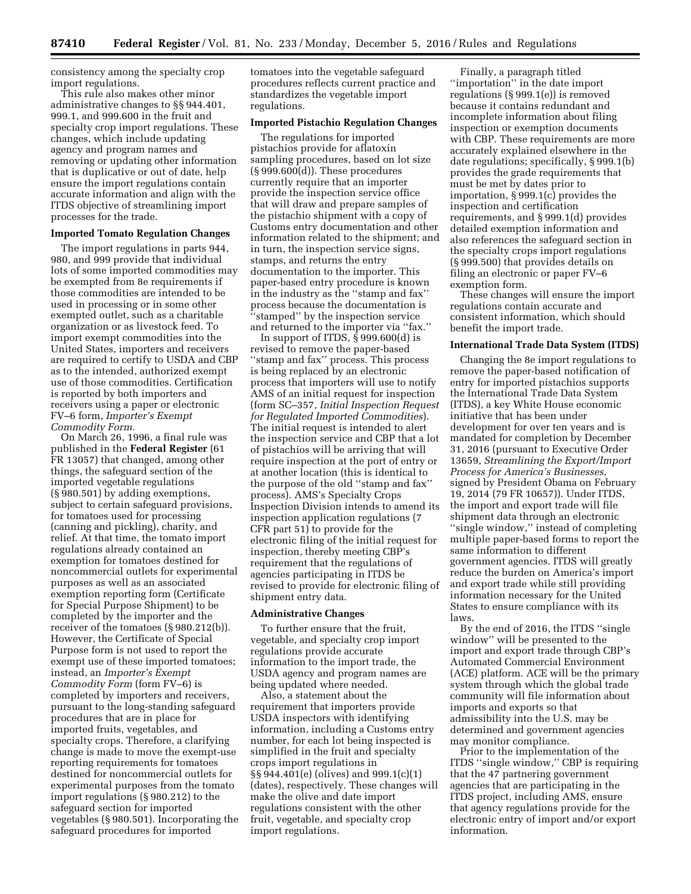consistency among the specialty crop import regulations.

This rule also makes other minor administrative changes to §§ 944.401, 999.1, and 999.600 in the fruit and specialty crop import regulations. These changes, which include updating agency and program names and removing or updating other information that is duplicative or out of date, help ensure the import regulations contain accurate information and align with the ITDS objective of streamlining import processes for the trade.

# **Imported Tomato Regulation Changes**

The import regulations in parts 944, 980, and 999 provide that individual lots of some imported commodities may be exempted from 8e requirements if those commodities are intended to be used in processing or in some other exempted outlet, such as a charitable organization or as livestock feed. To import exempt commodities into the United States, importers and receivers are required to certify to USDA and CBP as to the intended, authorized exempt use of those commodities. Certification is reported by both importers and receivers using a paper or electronic FV–6 form, *Importer's Exempt Commodity Form.* 

On March 26, 1996, a final rule was published in the **Federal Register** (61 FR 13057) that changed, among other things, the safeguard section of the imported vegetable regulations (§ 980.501) by adding exemptions, subject to certain safeguard provisions, for tomatoes used for processing (canning and pickling), charity, and relief. At that time, the tomato import regulations already contained an exemption for tomatoes destined for noncommercial outlets for experimental purposes as well as an associated exemption reporting form (Certificate for Special Purpose Shipment) to be completed by the importer and the receiver of the tomatoes (§ 980.212(b)). However, the Certificate of Special Purpose form is not used to report the exempt use of these imported tomatoes; instead, an *Importer's Exempt Commodity Form* (form FV–6) is completed by importers and receivers, pursuant to the long-standing safeguard procedures that are in place for imported fruits, vegetables, and specialty crops. Therefore, a clarifying change is made to move the exempt-use reporting requirements for tomatoes destined for noncommercial outlets for experimental purposes from the tomato import regulations (§ 980.212) to the safeguard section for imported vegetables (§ 980.501). Incorporating the safeguard procedures for imported

tomatoes into the vegetable safeguard procedures reflects current practice and standardizes the vegetable import regulations.

#### **Imported Pistachio Regulation Changes**

The regulations for imported pistachios provide for aflatoxin sampling procedures, based on lot size (§ 999.600(d)). These procedures currently require that an importer provide the inspection service office that will draw and prepare samples of the pistachio shipment with a copy of Customs entry documentation and other information related to the shipment; and in turn, the inspection service signs, stamps, and returns the entry documentation to the importer. This paper-based entry procedure is known in the industry as the ''stamp and fax'' process because the documentation is ''stamped'' by the inspection service and returned to the importer via ''fax.''

In support of ITDS, § 999.600(d) is revised to remove the paper-based ''stamp and fax'' process. This process is being replaced by an electronic process that importers will use to notify AMS of an initial request for inspection (form SC–357, *Initial Inspection Request for Regulated Imported Commodities*). The initial request is intended to alert the inspection service and CBP that a lot of pistachios will be arriving that will require inspection at the port of entry or at another location (this is identical to the purpose of the old ''stamp and fax'' process). AMS's Specialty Crops Inspection Division intends to amend its inspection application regulations (7 CFR part 51) to provide for the electronic filing of the initial request for inspection, thereby meeting CBP's requirement that the regulations of agencies participating in ITDS be revised to provide for electronic filing of shipment entry data.

#### **Administrative Changes**

To further ensure that the fruit, vegetable, and specialty crop import regulations provide accurate information to the import trade, the USDA agency and program names are being updated where needed.

Also, a statement about the requirement that importers provide USDA inspectors with identifying information, including a Customs entry number, for each lot being inspected is simplified in the fruit and specialty crops import regulations in §§ 944.401(e) (olives) and 999.1(c)(1) (dates), respectively. These changes will make the olive and date import regulations consistent with the other fruit, vegetable, and specialty crop import regulations.

Finally, a paragraph titled ''importation'' in the date import regulations (§ 999.1(e)) is removed because it contains redundant and incomplete information about filing inspection or exemption documents with CBP. These requirements are more accurately explained elsewhere in the date regulations; specifically, § 999.1(b) provides the grade requirements that must be met by dates prior to importation, § 999.1(c) provides the inspection and certification requirements, and § 999.1(d) provides detailed exemption information and also references the safeguard section in the specialty crops import regulations (§ 999.500) that provides details on filing an electronic or paper FV–6 exemption form.

These changes will ensure the import regulations contain accurate and consistent information, which should benefit the import trade.

#### **International Trade Data System (ITDS)**

Changing the 8e import regulations to remove the paper-based notification of entry for imported pistachios supports the International Trade Data System (ITDS), a key White House economic initiative that has been under development for over ten years and is mandated for completion by December 31, 2016 (pursuant to Executive Order 13659, *Streamlining the Export/Import Process for America's Businesses,*  signed by President Obama on February 19, 2014 (79 FR 10657)). Under ITDS, the import and export trade will file shipment data through an electronic ''single window,'' instead of completing multiple paper-based forms to report the same information to different government agencies. ITDS will greatly reduce the burden on America's import and export trade while still providing information necessary for the United States to ensure compliance with its laws.

By the end of 2016, the ITDS ''single window'' will be presented to the import and export trade through CBP's Automated Commercial Environment (ACE) platform. ACE will be the primary system through which the global trade community will file information about imports and exports so that admissibility into the U.S. may be determined and government agencies may monitor compliance.

Prior to the implementation of the ITDS ''single window,'' CBP is requiring that the 47 partnering government agencies that are participating in the ITDS project, including AMS, ensure that agency regulations provide for the electronic entry of import and/or export information.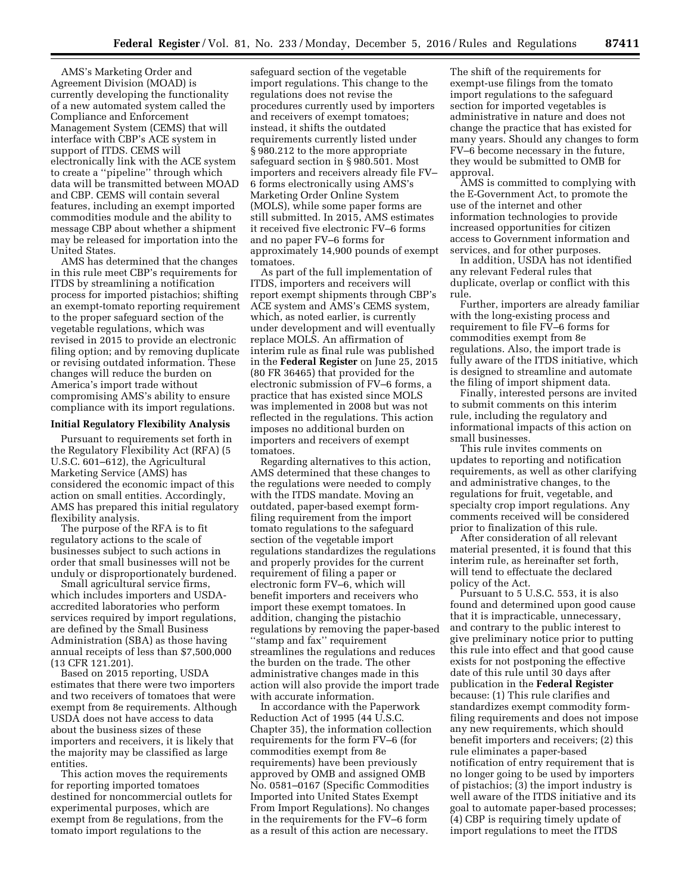AMS's Marketing Order and Agreement Division (MOAD) is currently developing the functionality of a new automated system called the Compliance and Enforcement Management System (CEMS) that will interface with CBP's ACE system in support of ITDS. CEMS will electronically link with the ACE system to create a ''pipeline'' through which data will be transmitted between MOAD and CBP. CEMS will contain several features, including an exempt imported commodities module and the ability to message CBP about whether a shipment may be released for importation into the United States.

AMS has determined that the changes in this rule meet CBP's requirements for ITDS by streamlining a notification process for imported pistachios; shifting an exempt-tomato reporting requirement to the proper safeguard section of the vegetable regulations, which was revised in 2015 to provide an electronic filing option; and by removing duplicate or revising outdated information. These changes will reduce the burden on America's import trade without compromising AMS's ability to ensure compliance with its import regulations.

#### **Initial Regulatory Flexibility Analysis**

Pursuant to requirements set forth in the Regulatory Flexibility Act (RFA) (5 U.S.C. 601–612), the Agricultural Marketing Service (AMS) has considered the economic impact of this action on small entities. Accordingly, AMS has prepared this initial regulatory flexibility analysis.

The purpose of the RFA is to fit regulatory actions to the scale of businesses subject to such actions in order that small businesses will not be unduly or disproportionately burdened.

Small agricultural service firms, which includes importers and USDAaccredited laboratories who perform services required by import regulations, are defined by the Small Business Administration (SBA) as those having annual receipts of less than \$7,500,000 (13 CFR 121.201).

Based on 2015 reporting, USDA estimates that there were two importers and two receivers of tomatoes that were exempt from 8e requirements. Although USDA does not have access to data about the business sizes of these importers and receivers, it is likely that the majority may be classified as large entities.

This action moves the requirements for reporting imported tomatoes destined for noncommercial outlets for experimental purposes, which are exempt from 8e regulations, from the tomato import regulations to the

safeguard section of the vegetable import regulations. This change to the regulations does not revise the procedures currently used by importers and receivers of exempt tomatoes; instead, it shifts the outdated requirements currently listed under § 980.212 to the more appropriate safeguard section in § 980.501. Most importers and receivers already file FV– 6 forms electronically using AMS's Marketing Order Online System (MOLS), while some paper forms are still submitted. In 2015, AMS estimates it received five electronic FV–6 forms and no paper FV–6 forms for approximately 14,900 pounds of exempt tomatoes.

As part of the full implementation of ITDS, importers and receivers will report exempt shipments through CBP's ACE system and AMS's CEMS system, which, as noted earlier, is currently under development and will eventually replace MOLS. An affirmation of interim rule as final rule was published in the **Federal Register** on June 25, 2015 (80 FR 36465) that provided for the electronic submission of FV–6 forms, a practice that has existed since MOLS was implemented in 2008 but was not reflected in the regulations. This action imposes no additional burden on importers and receivers of exempt tomatoes.

Regarding alternatives to this action, AMS determined that these changes to the regulations were needed to comply with the ITDS mandate. Moving an outdated, paper-based exempt formfiling requirement from the import tomato regulations to the safeguard section of the vegetable import regulations standardizes the regulations and properly provides for the current requirement of filing a paper or electronic form FV–6, which will benefit importers and receivers who import these exempt tomatoes. In addition, changing the pistachio regulations by removing the paper-based ''stamp and fax'' requirement streamlines the regulations and reduces the burden on the trade. The other administrative changes made in this action will also provide the import trade with accurate information.

In accordance with the Paperwork Reduction Act of 1995 (44 U.S.C. Chapter 35), the information collection requirements for the form FV–6 (for commodities exempt from 8e requirements) have been previously approved by OMB and assigned OMB No. 0581–0167 (Specific Commodities Imported into United States Exempt From Import Regulations). No changes in the requirements for the FV–6 form as a result of this action are necessary.

The shift of the requirements for exempt-use filings from the tomato import regulations to the safeguard section for imported vegetables is administrative in nature and does not change the practice that has existed for many years. Should any changes to form FV–6 become necessary in the future, they would be submitted to OMB for approval.

AMS is committed to complying with the E-Government Act, to promote the use of the internet and other information technologies to provide increased opportunities for citizen access to Government information and services, and for other purposes.

In addition, USDA has not identified any relevant Federal rules that duplicate, overlap or conflict with this rule.

Further, importers are already familiar with the long-existing process and requirement to file FV–6 forms for commodities exempt from 8e regulations. Also, the import trade is fully aware of the ITDS initiative, which is designed to streamline and automate the filing of import shipment data.

Finally, interested persons are invited to submit comments on this interim rule, including the regulatory and informational impacts of this action on small businesses.

This rule invites comments on updates to reporting and notification requirements, as well as other clarifying and administrative changes, to the regulations for fruit, vegetable, and specialty crop import regulations. Any comments received will be considered prior to finalization of this rule.

After consideration of all relevant material presented, it is found that this interim rule, as hereinafter set forth, will tend to effectuate the declared policy of the Act.

Pursuant to 5 U.S.C. 553, it is also found and determined upon good cause that it is impracticable, unnecessary, and contrary to the public interest to give preliminary notice prior to putting this rule into effect and that good cause exists for not postponing the effective date of this rule until 30 days after publication in the **Federal Register**  because: (1) This rule clarifies and standardizes exempt commodity formfiling requirements and does not impose any new requirements, which should benefit importers and receivers; (2) this rule eliminates a paper-based notification of entry requirement that is no longer going to be used by importers of pistachios; (3) the import industry is well aware of the ITDS initiative and its goal to automate paper-based processes; (4) CBP is requiring timely update of import regulations to meet the ITDS